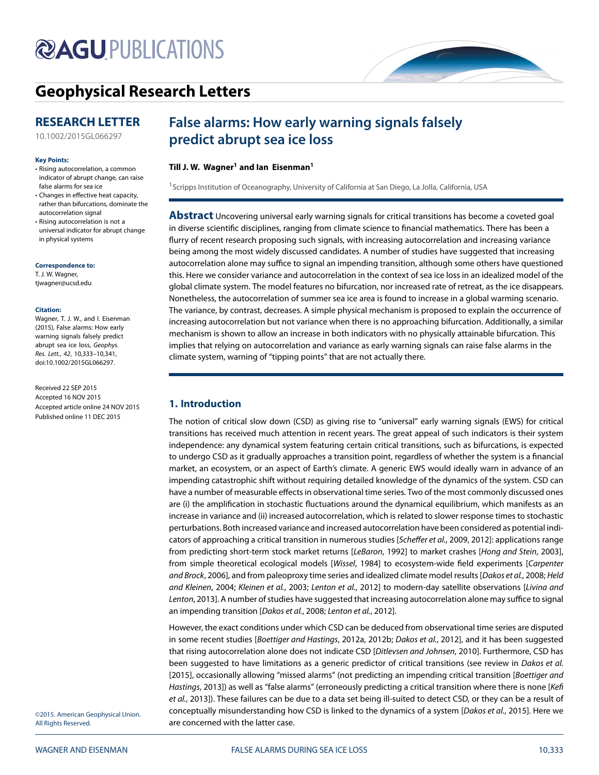# **@AGUPUBLICATIONS**

# **[Geophysical Research Letters](http://onlinelibrary.wiley.com/journal/10.1002/(ISSN)1944-8007)**

## **RESEARCH LETTER**

[10.1002/2015GL066297](http://dx.doi.org/10.1002/2015GL066297)

### **Key Points:**

- Rising autocorrelation, a common indicator of abrupt change, can raise false alarms for sea ice
- Changes in effective heat capacity, rather than bifurcations, dominate the autocorrelation signal
- Rising autocorrelation is not a universal indicator for abrupt change in physical systems

#### **Correspondence to:**

T. J. W. Wagner, tjwagner@ucsd.edu

#### **Citation:**

Wagner, T. J. W., and I. Eisenman (2015), False alarms: How early warning signals falsely predict abrupt sea ice loss, Geophys. Res. Lett., 42, 10,333–10,341, doi:10.1002/2015GL066297.

Received 22 SEP 2015 Accepted 16 NOV 2015 Accepted article online 24 NOV 2015 Published online 11 DEC 2015

## **False alarms: How early warning signals falsely predict abrupt sea ice loss**

### **Till J. W. Wagner1 and Ian Eisenman<sup>1</sup>**

<sup>1</sup> Scripps Institution of Oceanography, University of California at San Diego, La Jolla, California, USA

**Abstract** Uncovering universal early warning signals for critical transitions has become a coveted goal in diverse scientific disciplines, ranging from climate science to financial mathematics. There has been a flurry of recent research proposing such signals, with increasing autocorrelation and increasing variance being among the most widely discussed candidates. A number of studies have suggested that increasing autocorrelation alone may suffice to signal an impending transition, although some others have questioned this. Here we consider variance and autocorrelation in the context of sea ice loss in an idealized model of the global climate system. The model features no bifurcation, nor increased rate of retreat, as the ice disappears. Nonetheless, the autocorrelation of summer sea ice area is found to increase in a global warming scenario. The variance, by contrast, decreases. A simple physical mechanism is proposed to explain the occurrence of increasing autocorrelation but not variance when there is no approaching bifurcation. Additionally, a similar mechanism is shown to allow an increase in both indicators with no physically attainable bifurcation. This implies that relying on autocorrelation and variance as early warning signals can raise false alarms in the climate system, warning of "tipping points" that are not actually there.

### <span id="page-0-0"></span>**1. Introduction**

The notion of critical slow down (CSD) as giving rise to "universal" early warning signals (EWS) for critical transitions has received much attention in recent years. The great appeal of such indicators is their system independence: any dynamical system featuring certain critical transitions, such as bifurcations, is expected to undergo CSD as it gradually approaches a transition point, regardless of whether the system is a financial market, an ecosystem, or an aspect of Earth's climate. A generic EWS would ideally warn in advance of an impending catastrophic shift without requiring detailed knowledge of the dynamics of the system. CSD can have a number of measurable effects in observational time series. Two of the most commonly discussed ones are (i) the amplification in stochastic fluctuations around the dynamical equilibrium, which manifests as an increase in variance and (ii) increased autocorrelation, which is related to slower response times to stochastic perturbations. Both increased variance and increased autocorrelation have been considered as potential indi-cators of approaching a critical transition in numerous studies [Scheffer et al., [2009,](#page-8-0) [2012\]](#page-8-1): applications range from predicting short-term stock market returns [LeBaron, [1992\]](#page-8-2) to market crashes [Hong and Stein, [2003\]](#page-8-3), from simple theoretical ecological models [Wissel, [1984\]](#page-8-4) to ecosystem-wide field experiments [Carpenter and Brock, [2006\]](#page-8-5), and from paleoproxy time series and idealized climate model results [Dakos et al., [2008;](#page-8-6) Held and Kleinen, [2004;](#page-8-7) Kleinen et al., [2003;](#page-8-8) Lenton et al., [2012\]](#page-8-9) to modern-day satellite observations [Livina and Lenton, [2013\]](#page-8-10). A number of studies have suggested that increasing autocorrelation alone may suffice to signal an impending transition [Dakos et al., [2008;](#page-8-6) Lenton et al., [2012\]](#page-8-9).

However, the exact conditions under which CSD can be deduced from observational time series are disputed in some recent studies [Boettiger and Hastings, [2012a,](#page-8-11) [2012b;](#page-8-12) Dakos et al., [2012\]](#page-8-13), and it has been suggested that rising autocorrelation alone does not indicate CSD [Ditlevsen and Johnsen, [2010\]](#page-8-14). Furthermore, CSD has been suggested to have limitations as a generic predictor of critical transitions (see review in Dakos et al. [\[2015\]](#page-8-15), occasionally allowing "missed alarms" (not predicting an impending critical transition [Boettiger and Hastings, [2013\]](#page-8-16)) as well as "false alarms" (erroneously predicting a critical transition where there is none [Kefi et al., [2013\]](#page-8-17)). These failures can be due to a data set being ill-suited to detect CSD, or they can be a result of conceptually misunderstanding how CSD is linked to the dynamics of a system [Dakos et al., [2015\]](#page-8-15). Here we are concerned with the latter case.

©2015. American Geophysical Union. All Rights Reserved.

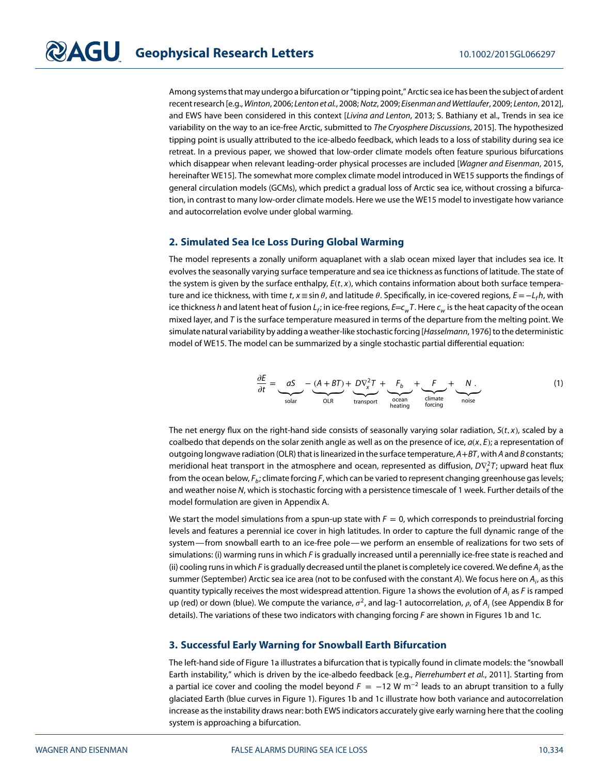Among systems that may undergo a bifurcation or "tipping point," Arctic sea ice has been the subject of ardent recent research [e.g., Winton[, 2006;](#page-8-18) Lenton et al., [2008;](#page-8-19) Notz, [2009;](#page-8-20) Eisenman and Wettlaufer[, 2009;](#page-8-21) Lenton, [2012\]](#page-8-22), and EWS have been considered in this context [Livina and Lenton, [2013;](#page-8-10) S. Bathiany et al., Trends in sea ice variability on the way to an ice-free Arctic, submitted to The Cryosphere Discussions, 2015]. The hypothesized tipping point is usually attributed to the ice-albedo feedback, which leads to a loss of stability during sea ice retreat. In a previous paper, we showed that low-order climate models often feature spurious bifurcations which disappear when relevant leading-order physical processes are included [Wagner and Eisenman, [2015,](#page-8-23) hereinafter WE15]. The somewhat more complex climate model introduced in WE15 supports the findings of general circulation models (GCMs), which predict a gradual loss of Arctic sea ice, without crossing a bifurcation, in contrast to many low-order climate models. Here we use the WE15 model to investigate how variance and autocorrelation evolve under global warming.

### **2. Simulated Sea Ice Loss During Global Warming**

The model represents a zonally uniform aquaplanet with a slab ocean mixed layer that includes sea ice. It evolves the seasonally varying surface temperature and sea ice thickness as functions of latitude. The state of the system is given by the surface enthalpy, E(t*,* x), which contains information about both surface temperature and ice thickness, with time t,  $x \equiv \sin \theta$ , and latitude  $\theta$ . Specifically, in ice-covered regions,  $E = -L_f h$ , with ice thickness h and latent heat of fusion  $L_i$ ; in ice-free regions,  $E=c_wT$ . Here  $c_w$  is the heat capacity of the ocean mixed layer, and  $T$  is the surface temperature measured in terms of the departure from the melting point. We simulate natural variability by adding a weather-like stochastic forcing [Hasselmann[, 1976\]](#page-8-24) to the deterministic model of WE15. The model can be summarized by a single stochastic partial differential equation:

<span id="page-1-0"></span>
$$
\frac{\partial E}{\partial t} = \underbrace{as}_{\text{solar}} - \underbrace{(A + B T)}_{\text{OLR}} + \underbrace{D V_x^2 T}_{\text{transport}} + \underbrace{F_b}_{\text{ocean}} + \underbrace{F}{\underbrace{F}_{\text{mrate}}}_{\text{forcing}} + \underbrace{N.}_{\text{noise}} \tag{1}
$$

The net energy flux on the right-hand side consists of seasonally varying solar radiation, S(t*,* x), scaled by a coalbedo that depends on the solar zenith angle as well as on the presence of ice,  $a(x, E)$ ; a representation of outgoing longwave radiation (OLR) that is linearized in the surface temperature,  $A+BT$ , with A and B constants; meridional heat transport in the atmosphere and ocean, represented as diffusion,  $D\nabla_x^2 {\cal T}$ ; upward heat flux from the ocean below,  $F_b$ ; climate forcing F, which can be varied to represent changing greenhouse gas levels; and weather noise N, which is stochastic forcing with a persistence timescale of 1 week. Further details of the model formulation are given in Appendix A.

We start the model simulations from a spun-up state with  $F = 0$ , which corresponds to preindustrial forcing levels and features a perennial ice cover in high latitudes. In order to capture the full dynamic range of the system—from snowball earth to an ice-free pole—we perform an ensemble of realizations for two sets of simulations: (i) warming runs in which  $F$  is gradually increased until a perennially ice-free state is reached and (ii) cooling runs in which F is gradually decreased until the planet is completely ice covered. We define  $A_i$  as the summer (September) Arctic sea ice area (not to be confused with the constant A). We focus here on  $A_{i\prime}$  as this quantity typically receives the most widespread attention. Figure [1a](#page-2-0) shows the evolution of  $A_i$  as F is ramped up (red) or down (blue). We compute the variance,  $\sigma^2$ , and lag-1 autocorrelation,  $\rho$ , of  $A_i$  (see Appendix B for details). The variations of these two indicators with changing forcing F are shown in Figures [1b](#page-2-0) and [1c](#page-2-0).

### **3. Successful Early Warning for Snowball Earth Bifurcation**

The left-hand side of Figure [1a](#page-2-0) illustrates a bifurcation that is typically found in climate models: the "snowball Earth instability," which is driven by the ice-albedo feedback [e.g., Pierrehumbert et al., [2011\]](#page-8-25). Starting from a partial ice cover and cooling the model beyond  $F = -12$  W m<sup>-2</sup> leads to an abrupt transition to a fully glaciated Earth (blue curves in Figure [1\)](#page-2-0). Figures [1b](#page-2-0) and [1c](#page-2-0) illustrate how both variance and autocorrelation increase as the instability draws near: both EWS indicators accurately give early warning here that the cooling system is approaching a bifurcation.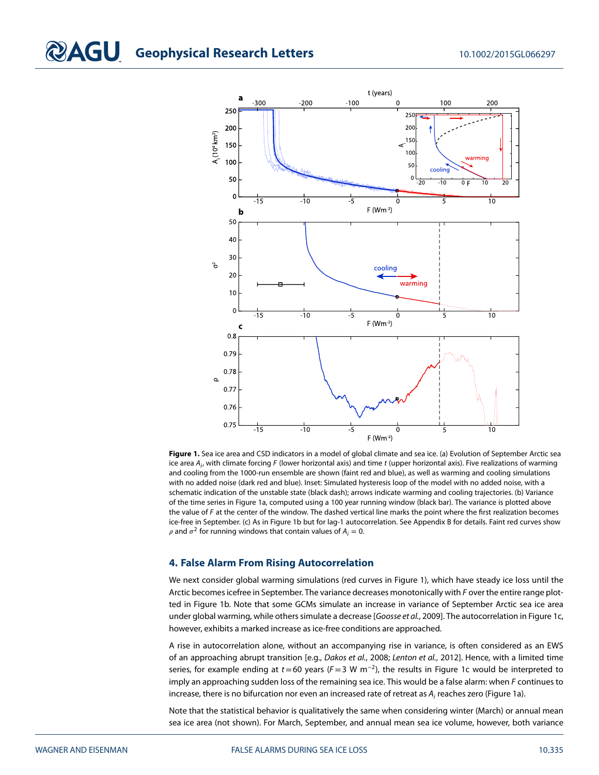

<span id="page-2-0"></span>**Figure 1.** Sea ice area and CSD indicators in a model of global climate and sea ice. (a) Evolution of September Arctic sea ice area  $A_i$ , with climate forcing F (lower horizontal axis) and time t (upper horizontal axis). Five realizations of warming and cooling from the 1000-run ensemble are shown (faint red and blue), as well as warming and cooling simulations with no added noise (dark red and blue). Inset: Simulated hysteresis loop of the model with no added noise, with a schematic indication of the unstable state (black dash); arrows indicate warming and cooling trajectories. (b) Variance of the time series in Figure [1a](#page-2-0), computed using a 100 year running window (black bar). The variance is plotted above the value of  $F$  at the center of the window. The dashed vertical line marks the point where the first realization becomes ice-free in September. (c) As in Figure [1b](#page-2-0) but for lag-1 autocorrelation. See Appendix B for details. Faint red curves show  $\rho$  and  $\sigma^2$  for running windows that contain values of  $A_i = 0$ .

### **4. False Alarm From Rising Autocorrelation**

We next consider global warming simulations (red curves in Figure [1\)](#page-2-0), which have steady ice loss until the Arctic becomes icefree in September. The variance decreases monotonically with F over the entire range plotted in Figure [1b](#page-2-0). Note that some GCMs simulate an increase in variance of September Arctic sea ice area under global warming, while others simulate a decrease [Goosse et al., [2009\]](#page-8-26). The autocorrelation in Figure [1c](#page-2-0), however, exhibits a marked increase as ice-free conditions are approached.

A rise in autocorrelation alone, without an accompanying rise in variance, is often considered as an EWS of an approaching abrupt transition [e.g., Dakos et al., [2008;](#page-8-6) Lenton et al., [2012\]](#page-8-9). Hence, with a limited time series, for example ending at  $t=60$  years (F=3 W m<sup>-2</sup>), the results in Figure [1c](#page-2-0) would be interpreted to imply an approaching sudden loss of the remaining sea ice. This would be a false alarm: when  $F$  continues to increase, there is no bifurcation nor even an increased rate of retreat as  $A_i$  reaches zero (Figure [1a](#page-2-0)).

Note that the statistical behavior is qualitatively the same when considering winter (March) or annual mean sea ice area (not shown). For March, September, and annual mean sea ice volume, however, both variance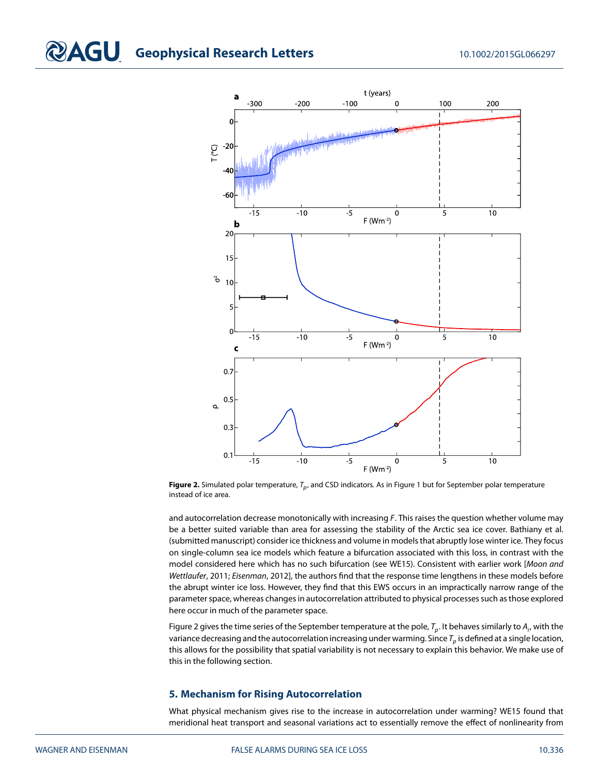# **COAGU** Geophysical Research Letters 10.1002/2015GL066297



<span id="page-3-0"></span>**Figure 2.** Simulated polar temperature,  $T_p$ , and CSD indicators. As in Figure [1](#page-2-0) but for September polar temperature instead of ice area.

and autocorrelation decrease monotonically with increasing  $F$ . This raises the question whether volume may be a better suited variable than area for assessing the stability of the Arctic sea ice cover. Bathiany et al. (submitted manuscript) consider ice thickness and volume in models that abruptly lose winter ice. They focus on single-column sea ice models which feature a bifurcation associated with this loss, in contrast with the model considered here which has no such bifurcation (see WE15). Consistent with earlier work [Moon and Wettlaufer, [2011;](#page-8-27) Eisenman, [2012\]](#page-8-28), the authors find that the response time lengthens in these models before the abrupt winter ice loss. However, they find that this EWS occurs in an impractically narrow range of the parameter space, whereas changes in autocorrelation attributed to physical processes such as those explored here occur in much of the parameter space.

Figure [2](#page-3-0) gives the time series of the September temperature at the pole,  $T_p$ . It behaves similarly to  $A_i$ , with the variance decreasing and the autocorrelation increasing under warming. Since  $T_p$  is defined at a single location, this allows for the possibility that spatial variability is not necessary to explain this behavior. We make use of this in the following section.

### **5. Mechanism for Rising Autocorrelation**

What physical mechanism gives rise to the increase in autocorrelation under warming? WE15 found that meridional heat transport and seasonal variations act to essentially remove the effect of nonlinearity from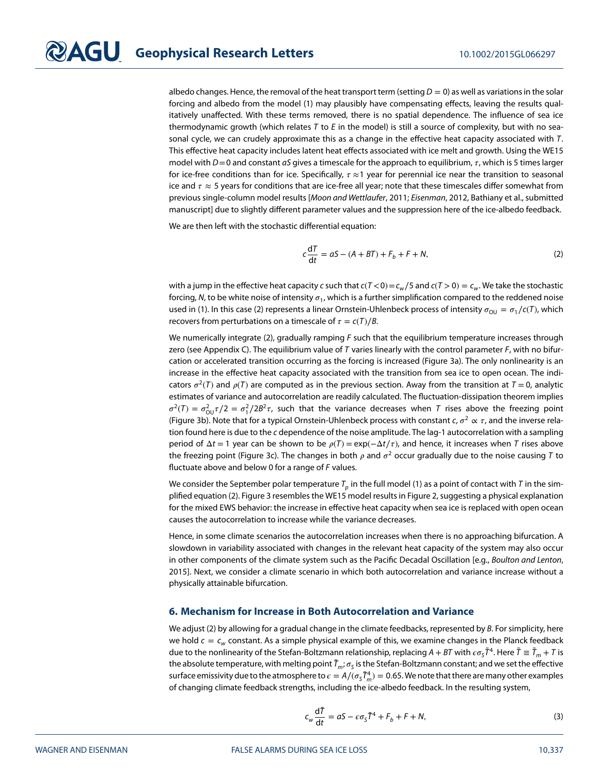albedo changes. Hence, the removal of the heat transport term (setting  $D = 0$ ) as well as variations in the solar forcing and albedo from the model [\(1\)](#page-1-0) may plausibly have compensating effects, leaving the results qualitatively unaffected. With these terms removed, there is no spatial dependence. The influence of sea ice thermodynamic growth (which relates T to E in the model) is still a source of complexity, but with no seasonal cycle, we can crudely approximate this as a change in the effective heat capacity associated with T. This effective heat capacity includes latent heat effects associated with ice melt and growth. Using the WE15 model with  $D=0$  and constant aS gives a timescale for the approach to equilibrium,  $\tau$ , which is 5 times larger for ice-free conditions than for ice. Specifically,  $\tau \approx 1$  year for perennial ice near the transition to seasonal ice and  $\tau \approx 5$  years for conditions that are ice-free all year; note that these timescales differ somewhat from previous single-column model results [Moon and Wettlaufer, [2011;](#page-8-27) Eisenman, [2012,](#page-8-28) Bathiany et al., submitted manuscript] due to slightly different parameter values and the suppression here of the ice-albedo feedback.

We are then left with the stochastic differential equation:

<span id="page-4-0"></span>
$$
c\frac{dT}{dt} = aS - (A + BT) + F_b + F + N,
$$
\n(2)

with a jump in the effective heat capacity *c* such that  $c(T < 0) = c_w/5$  and  $c(T > 0) = c_w$ . We take the stochastic forcing, N, to be white noise of intensity  $\sigma_1$ , which is a further simplification compared to the reddened noise used in [\(1\)](#page-1-0). In this case [\(2\)](#page-4-0) represents a linear Ornstein-Uhlenbeck process of intensity  $\sigma_{0|1} = \sigma_1/c(T)$ , which recovers from perturbations on a timescale of  $\tau = c(T)/B$ .

We numerically integrate [\(2\)](#page-4-0), gradually ramping  $F$  such that the equilibrium temperature increases through zero (see Appendix C). The equilibrium value of  $T$  varies linearly with the control parameter  $F$ , with no bifurcation or accelerated transition occurring as the forcing is increased (Figure [3a](#page-5-0)). The only nonlinearity is an increase in the effective heat capacity associated with the transition from sea ice to open ocean. The indicators  $\sigma^2(T)$  and  $\rho(T)$  are computed as in the previous section. Away from the transition at  $T = 0$ , analytic estimates of variance and autocorrelation are readily calculated. The fluctuation-dissipation theorem implies  $\sigma^2(T) = \sigma_{0U}^2 \tau/2 = \sigma_1^2/2B^2 \tau$ , such that the variance decreases when T rises above the freezing point (Figure [3b](#page-5-0)). Note that for a typical Ornstein-Uhlenbeck process with constant c,  $\sigma^2 \propto \tau$ , and the inverse relation found here is due to the c dependence of the noise amplitude. The lag-1 autocorrelation with a sampling period of  $\Delta t = 1$  year can be shown to be  $\rho(T) = \exp(-\Delta t/\tau)$ , and hence, it increases when T rises above the freezing point (Figure [3c](#page-5-0)). The changes in both  $\rho$  and  $\sigma^2$  occur gradually due to the noise causing T to fluctuate above and below 0 for a range of  $F$  values.

We consider the September polar temperature  $T_p$  in the full model [\(1\)](#page-1-0) as a point of contact with T in the simplified equation [\(2\)](#page-4-0). Figure [3](#page-5-0) resembles the WE15 model results in Figure [2,](#page-3-0) suggesting a physical explanation for the mixed EWS behavior: the increase in effective heat capacity when sea ice is replaced with open ocean causes the autocorrelation to increase while the variance decreases.

Hence, in some climate scenarios the autocorrelation increases when there is no approaching bifurcation. A slowdown in variability associated with changes in the relevant heat capacity of the system may also occur in other components of the climate system such as the Pacific Decadal Oscillation [e.g., Boulton and Lenton, [2015\]](#page-8-29). Next, we consider a climate scenario in which both autocorrelation and variance increase without a physically attainable bifurcation.

### **6. Mechanism for Increase in Both Autocorrelation and Variance**

We adjust [\(2\)](#page-4-0) by allowing for a gradual change in the climate feedbacks, represented by B. For simplicity, here we hold  $c = c_w$  constant. As a simple physical example of this, we examine changes in the Planck feedback due to the nonlinearity of the Stefan-Boltzmann relationship, replacing  $A+B$ T with  $\epsilon\sigma_5\tilde{T}^4.$  Here  $\tilde{T}\equiv \tilde{T}_m+T$  is the absolute temperature, with melting point  $\tilde I_m$ ;  $\sigma_{\sf S}$  is the Stefan-Boltzmann constant; and we set the effective surface emissivity due to the atmosphere to  $\epsilon=A/(\sigma_s\tilde{T}_m^4)=0.65.$  We note that there are many other examples of changing climate feedback strengths, including the ice-albedo feedback. In the resulting system,

<span id="page-4-1"></span>
$$
c_w \frac{d\tilde{T}}{dt} = aS - \epsilon \sigma_S \tilde{T}^4 + F_b + F + N,\tag{3}
$$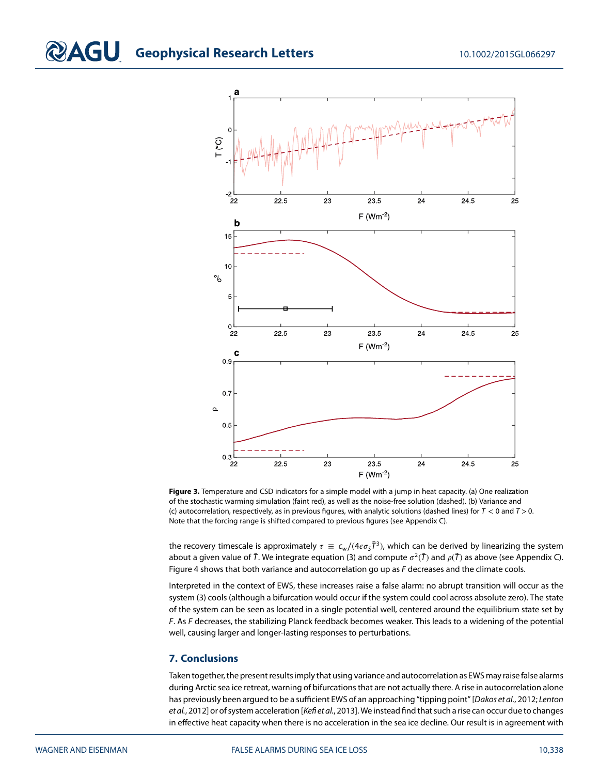# **COAGU** Geophysical Research Letters 10.1002/2015GL066297



<span id="page-5-0"></span>**Figure 3.** Temperature and CSD indicators for a simple model with a jump in heat capacity. (a) One realization of the stochastic warming simulation (faint red), as well as the noise-free solution (dashed). (b) Variance and (c) autocorrelation, respectively, as in previous figures, with analytic solutions (dashed lines) for T *<* 0 and T *>*0. Note that the forcing range is shifted compared to previous figures (see Appendix C).

the recovery timescale is approximately  $\tau \equiv c_w/(4\epsilon \sigma_s \tilde{T}^3)$ , which can be derived by linearizing the system about a given value of  $\bar{T}$ . We integrate equation [\(3\)](#page-4-1) and compute  $\sigma^2(\bar{T})$  and  $\rho(\bar{T})$  as above (see Appendix C). Figure [4](#page-6-0) shows that both variance and autocorrelation go up as F decreases and the climate cools.

Interpreted in the context of EWS, these increases raise a false alarm: no abrupt transition will occur as the system [\(3\)](#page-4-1) cools (although a bifurcation would occur if the system could cool across absolute zero). The state of the system can be seen as located in a single potential well, centered around the equilibrium state set by F. As F decreases, the stabilizing Planck feedback becomes weaker. This leads to a widening of the potential well, causing larger and longer-lasting responses to perturbations.

### **7. Conclusions**

Taken together, the present results imply that using variance and autocorrelation as EWS may raisefalse alarms during Arctic sea ice retreat, warning of bifurcations that are not actually there. A rise in autocorrelation alone has previously been argued to be a sufficient EWS of an approaching "tipping point" [Dakos et al., [2012;](#page-8-13) Lenton et al., [2012\]](#page-8-9) or of system acceleration [Kefi et al.[, 2013\]](#page-8-17). We instead find that such a rise can occur due to changes in effective heat capacity when there is no acceleration in the sea ice decline. Our result is in agreement with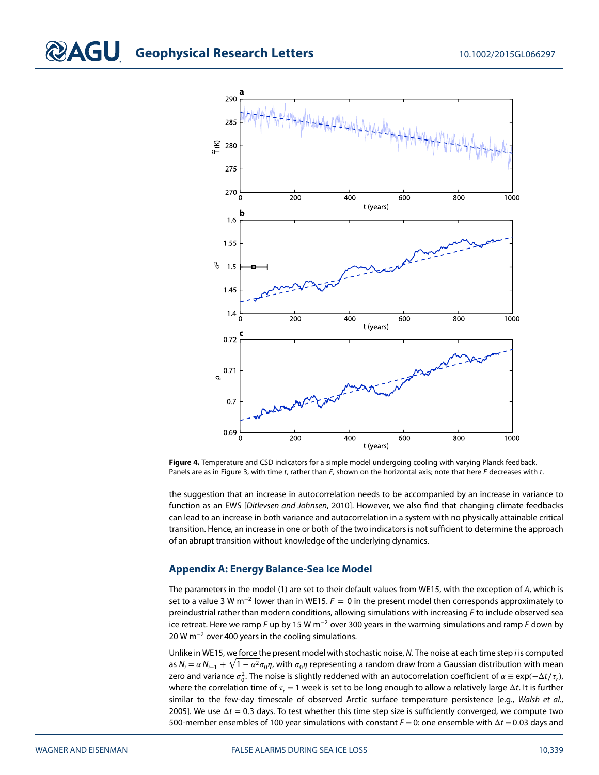

<span id="page-6-0"></span>**Figure 4.** Temperature and CSD indicators for a simple model undergoing cooling with varying Planck feedback. Panels are as in Figure [3,](#page-5-0) with time t, rather than F, shown on the horizontal axis; note that here F decreases with t.

the suggestion that an increase in autocorrelation needs to be accompanied by an increase in variance to function as an EWS [Ditlevsen and Johnsen, [2010\]](#page-8-14). However, we also find that changing climate feedbacks can lead to an increase in both variance and autocorrelation in a system with no physically attainable critical transition. Hence, an increase in one or both of the two indicators is not sufficient to determine the approach of an abrupt transition without knowledge of the underlying dynamics.

### **[A](#page-0-0)ppendix [A:](#page-0-0) Energy Balance-Sea Ice Model**

The parameters in the model [\(1\)](#page-1-0) are set to their default values from WE15, with the exception of A, which is set to a value 3 W m<sup>-2</sup> lower than in WE15.  $F = 0$  in the present model then corresponds approximately to preindustrial rather than modern conditions, allowing simulations with increasing F to include observed sea ice retreat. Here we ramp F up by 15 W m<sup>-2</sup> over 300 years in the warming simulations and ramp F down by 20 W m<sup>-2</sup> over 400 years in the cooling simulations.

Unlike in WE15, we force the present model with stochastic noise, N. The noise at each time step i is computed as  $N_i=\alpha\,N_{i-1}\,+\,\sqrt{1-\alpha^2}\sigma_0\eta$ , with  $\sigma_0\eta$  representing a random draw from a Gaussian distribution with mean zero and variance  $\sigma_0^2$ . The noise is slightly reddened with an autocorrelation coefficient of  $\alpha\equiv\exp(-\Delta t/\tau_r)$ , where the correlation time of  $\tau_r = 1$  week is set to be long enough to allow a relatively large  $\Delta t$ . It is further similar to the few-day timescale of observed Arctic surface temperature persistence [e.g., Walsh et al., [2005\]](#page-8-30). We use  $\Delta t = 0.3$  days. To test whether this time step size is sufficiently converged, we compute two 500-member ensembles of 100 year simulations with constant  $F = 0$ : one ensemble with  $\Delta t = 0.03$  days and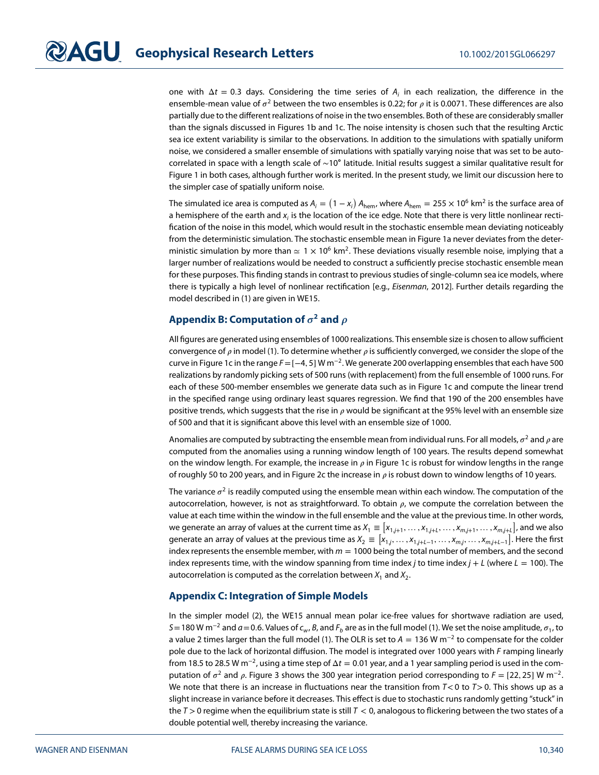one with  $\Delta t = 0.3$  days. Considering the time series of  $A_i$  in each realization, the difference in the ensemble-mean value of  $\sigma^2$  between the two ensembles is 0.22; for  $\rho$  it is 0.0071. These differences are also partially due to the different realizations of noise in the two ensembles. Both of these are considerably smaller than the signals discussed in Figures [1b](#page-2-0) and [1c](#page-2-0). The noise intensity is chosen such that the resulting Arctic sea ice extent variability is similar to the observations. In addition to the simulations with spatially uniform noise, we considered a smaller ensemble of simulations with spatially varying noise that was set to be autocorrelated in space with a length scale of ∼10∘ latitude. Initial results suggest a similar qualitative result for Figure [1](#page-2-0) in both cases, although further work is merited. In the present study, we limit our discussion here to the simpler case of spatially uniform noise.

The simulated ice area is computed as  $A_i = \left(1-x_i\right)A_{\rm hem}$ , where  $A_{\rm hem} = 255 \times 10^6$  km<sup>2</sup> is the surface area of a hemisphere of the earth and  $x_i$  is the location of the ice edge. Note that there is very little nonlinear rectification of the noise in this model, which would result in the stochastic ensemble mean deviating noticeably from the deterministic simulation. The stochastic ensemble mean in Figure [1a](#page-2-0) never deviates from the deterministic simulation by more than  $\simeq 1 \times 10^6$  km<sup>2</sup>. These deviations visually resemble noise, implying that a larger number of realizations would be needed to construct a sufficiently precise stochastic ensemble mean for these purposes. This finding stands in contrast to previous studies of single-column sea ice models, where there is typically a high level of nonlinear rectification [e.g., *Eisenman*, [2012\]](#page-8-28). Further details regarding the model described in [\(1\)](#page-1-0) are given in WE15.

### **[A](#page-0-0)ppendix [B:](#page-0-0)** Computation of  $\sigma^2$  and  $\rho$

All figures are generated using ensembles of 1000 realizations. This ensemble size is chosen to allow sufficient convergence of  $\rho$  in model [\(1\)](#page-1-0). To determine whether  $\rho$  is sufficiently converged, we consider the slope of the curve in Figure [1c](#page-2-0) in the range F= [−4*,* 5] W m<sup>−</sup>2. We generate 200 overlapping ensembles that each have 500 realizations by randomly picking sets of 500 runs (with replacement) from the full ensemble of 1000 runs. For each of these 500-member ensembles we generate data such as in Figure [1c](#page-2-0) and compute the linear trend in the specified range using ordinary least squares regression. We find that 190 of the 200 ensembles have positive trends, which suggests that the rise in  $\rho$  would be significant at the 95% level with an ensemble size of 500 and that it is significant above this level with an ensemble size of 1000.

Anomalies are computed by subtracting the ensemble mean from individual runs. For all models,  $\sigma^2$  and  $\rho$  are computed from the anomalies using a running window length of 100 years. The results depend somewhat on the window length. For example, the increase in  $\rho$  in Figure [1c](#page-2-0) is robust for window lengths in the range of roughly 50 to 200 years, and in Figure [2c](#page-3-0) the increase in  $\rho$  is robust down to window lengths of 10 years.

The variance  $\sigma^2$  is readily computed using the ensemble mean within each window. The computation of the autocorrelation, however, is not as straightforward. To obtain  $\rho$ , we compute the correlation between the value at each time within the window in the full ensemble and the value at the previous time. In other words, we generate an array of values at the current time as  $X_1\equiv\left[x_{1,j+1},\dots,x_{1,j+t},\dots,x_{m,j+1},\dots,x_{m,j+t}\right]$ , and we also generate an array of values at the previous time as  $X_2\equiv\left[x_{1,j},\dots,x_{1,j+L-1},\dots,x_{m,j},\dots,x_{m,j+L-1}\right].$  Here the first index represents the ensemble member, with  $m = 1000$  being the total number of members, and the second index represents time, with the window spanning from time index *j* to time index  $j + L$  (where  $L = 100$ ). The autocorrelation is computed as the correlation between  $X_1$  and  $X_2$ .

### **[A](#page-0-0)ppendix [C:](#page-0-0) Integration of Simple Models**

In the simpler model [\(2\)](#page-4-0), the WE15 annual mean polar ice-free values for shortwave radiation are used, S=180 W m<sup>-2</sup> and  $a=0.6$ . Values of  $c_w$ , B, and  $F_b$  are as in the full model [\(1\)](#page-1-0). We set the noise amplitude,  $\sigma_1$ , to a value 2 times larger than the full model [\(1\)](#page-1-0). The OLR is set to  $A = 136$  W m<sup>-2</sup> to compensate for the colder pole due to the lack of horizontal diffusion. The model is integrated over 1000 years with F ramping linearly from 18.5 to 28.5 W m<sup>-2</sup>, using a time step of  $\Delta t = 0.01$  year, and a 1 year sampling period is used in the computation of  $\sigma^2$  and  $\rho$ . Figure [3](#page-5-0) shows the 300 year integration period corresponding to F = [22, 25] W m<sup>-2</sup>. We note that there is an increase in fluctuations near the transition from T*<*0 to T*>*0. This shows up as a slight increase in variance before it decreases. This effect is due to stochastic runs randomly getting "stuck" in the T *>*0 regime when the equilibrium state is still T *<* 0, analogous to flickering between the two states of a double potential well, thereby increasing the variance.